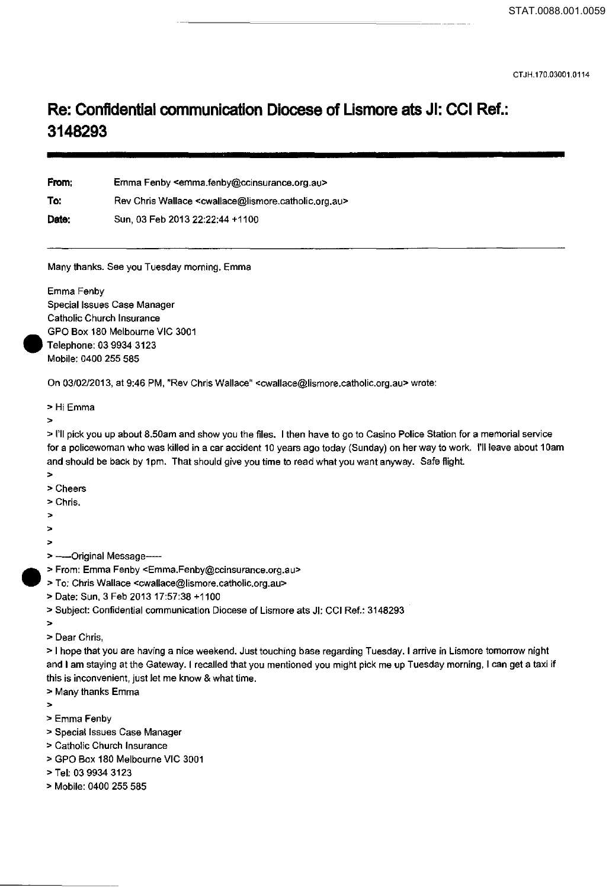CTJH.170.03001.0114

## **Re: Confidential communication Diocese of Lismore ats Jl: CCI Ref.: 3148293**

From: To: Date: Emma Fenby <emma.fenby@ccinsurance.org.au> Rev Chris Wallace <cwallace@lismore.catholic.org.au> Sun, 03 Feb 2013 22:22:44 +1100

Many thanks. See you Tuesday morning. Emma

Emma Fenby Special Issues Case Manager Catholic Church Insurance GPO Box 180 Melbourne VIC 3001 Telephone: 03 9934 3123 Mobile: 0400 255 585

On 03/02/2013, at 9:46 PM, "Rev Chris Wallace" <cwallace@lismore.catholic.org.au> wrote:

>Hi Emma

>

•

> I'll pick you up about 8.50am and show you the files. I then have to go to Casino Police Station for a memorial service for a policewoman who was killed in a car accident 10 years ago today (Sunday) on her way to work. I'll leave about 10am and should be back by 1pm. That should give you time to read what you want anyway. Safe flighl

- >
- >Cheers
- >Chris.
- >
- >

>

- > ---- Original Message-----
- > From: Emma Fenby <Emma.Fenby@ccinsurance.org.au>
- > To: Chris Wallace <cwallace@lismore.catholic.org.au>
	- >Date: Sun, 3 Feb 201317:57:38 +1100
	- >Subject: Confidential communication Diocese of Lismore ats Jl: CCI Ref.: 3148293
	- >
	- > Dear Chris,

> I hope that you are having a nice weekend. Just touching base regarding Tuesday. I arrive in Lismore tomorrow night and I am staying at the Gateway. I recalled that you mentioned you might pick me up Tuesday morning, I can get a taxi if this is inconvenient, just let me know & what time.

> Many thanks Emma

>

- >Emma Fenby
- > Special Issues Case Manager
- > Catholic Church Insurance
- >GPO Box 180 Melbourne VIC 3001
- >Tel: 03 9934 3123
- > Mobile: 0400 255 585